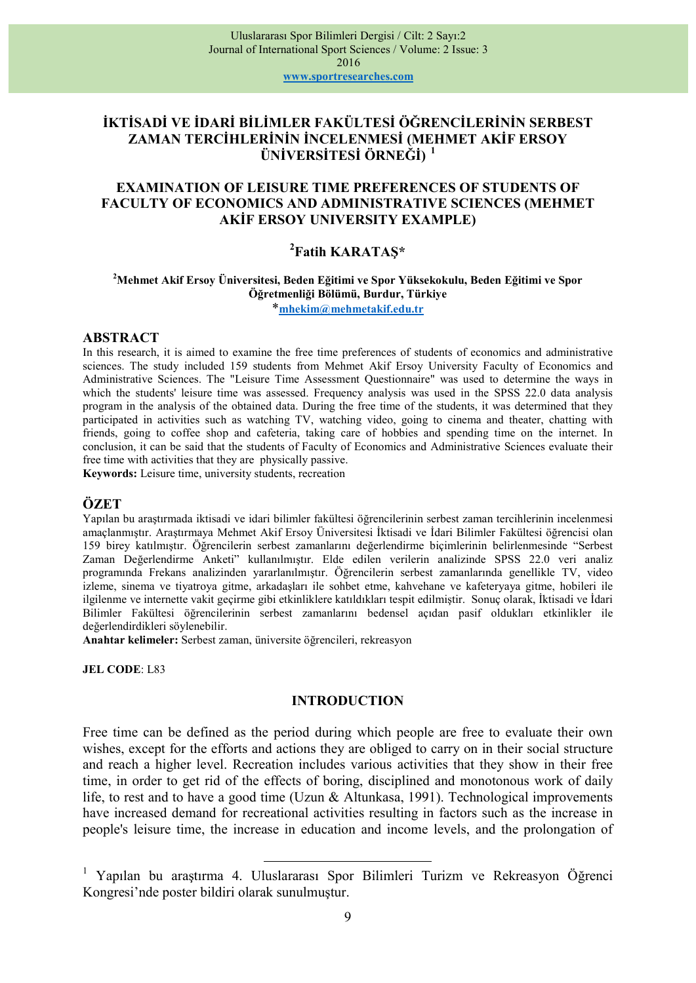# İKTİSADİ VE İDARİ BİLİMLER FAKÜLTESİ ÖĞRENCİLERİNİN SERBEST ZAMAN TERCİHLERİNİN İNCELENMESİ (MEHMET AKİF ERSOY ÜNİVERSİTESİ ÖRNEĞİ)<sup>1</sup>

### EXAMINATION OF LEISURE TIME PREFERENCES OF STUDENTS OF FACULTY OF ECONOMICS AND ADMINISTRATIVE SCIENCES (MEHMET AKİF ERSOY UNIVERSITY EXAMPLE)

# <sup>2</sup>Fatih KARATAŞ\*

<sup>2</sup>Mehmet Akif Ersoy Üniversitesi, Beden Eğitimi ve Spor Yüksekokulu, Beden Eğitimi ve Spor Öğretmenliği Bölümü, Burdur, Türkiye

\*mhekim@mehmetakif.edu.tr

#### ABSTRACT

In this research, it is aimed to examine the free time preferences of students of economics and administrative sciences. The study included 159 students from Mehmet Akif Ersoy University Faculty of Economics and Administrative Sciences. The "Leisure Time Assessment Questionnaire" was used to determine the ways in which the students' leisure time was assessed. Frequency analysis was used in the SPSS 22.0 data analysis program in the analysis of the obtained data. During the free time of the students, it was determined that they participated in activities such as watching TV, watching video, going to cinema and theater, chatting with friends, going to coffee shop and cafeteria, taking care of hobbies and spending time on the internet. In conclusion, it can be said that the students of Faculty of Economics and Administrative Sciences evaluate their free time with activities that they are physically passive.

Keywords: Leisure time, university students, recreation

### ÖZET

Yapılan bu araştırmada iktisadi ve idari bilimler fakültesi öğrencilerinin serbest zaman tercihlerinin incelenmesi amaçlanmıştır. Araştırmaya Mehmet Akif Ersoy Üniversitesi İktisadi ve İdari Bilimler Fakültesi öğrencisi olan 159 birey katılmıştır. Öğrencilerin serbest zamanlarını değerlendirme biçimlerinin belirlenmesinde "Serbest Zaman Değerlendirme Anketi" kullanılmıştır. Elde edilen verilerin analizinde SPSS 22.0 veri analiz programında Frekans analizinden yararlanılmıştır. Öğrencilerin serbest zamanlarında genellikle TV, video izleme, sinema ve tiyatroya gitme, arkadaşları ile sohbet etme, kahvehane ve kafeteryaya gitme, hobileri ile ilgilenme ve internette vakit geçirme gibi etkinliklere katıldıkları tespit edilmiştir. Sonuç olarak, İktisadi ve İdari Bilimler Fakültesi öğrencilerinin serbest zamanlarını bedensel açıdan pasif oldukları etkinlikler ile değerlendirdikleri söylenebilir.

Anahtar kelimeler: Serbest zaman, üniversite öğrencileri, rekreasyon

 $\overline{a}$ 

JEL CODE: L83

#### INTRODUCTION

Free time can be defined as the period during which people are free to evaluate their own wishes, except for the efforts and actions they are obliged to carry on in their social structure and reach a higher level. Recreation includes various activities that they show in their free time, in order to get rid of the effects of boring, disciplined and monotonous work of daily life, to rest and to have a good time (Uzun & Altunkasa, 1991). Technological improvements have increased demand for recreational activities resulting in factors such as the increase in people's leisure time, the increase in education and income levels, and the prolongation of

1 Yapılan bu araştırma 4. Uluslararası Spor Bilimleri Turizm ve Rekreasyon Öğrenci Kongresi'nde poster bildiri olarak sunulmuştur.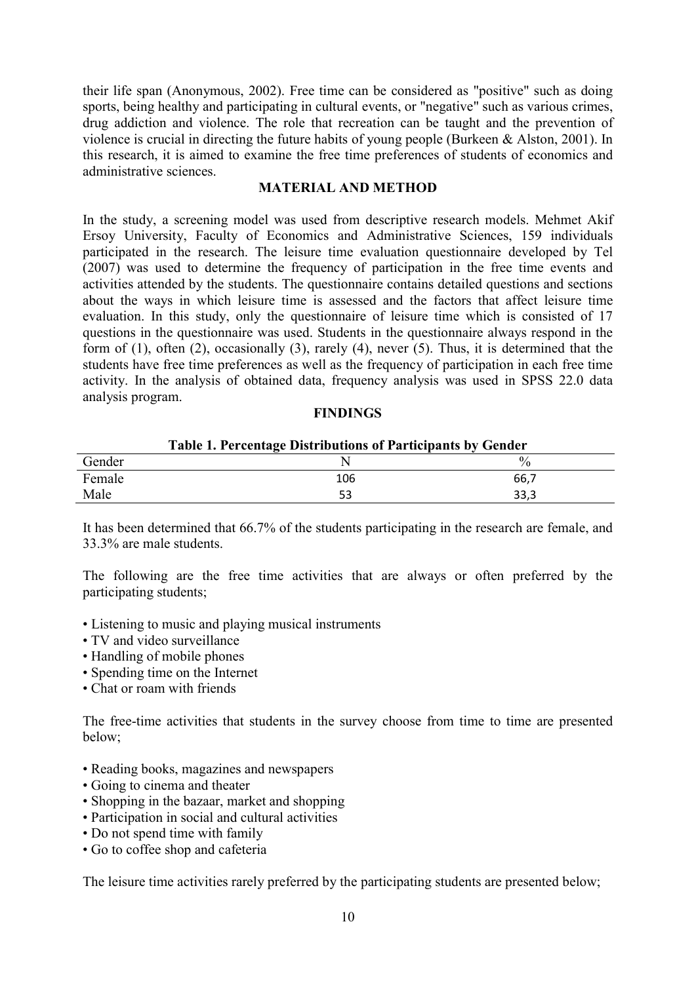their life span (Anonymous, 2002). Free time can be considered as "positive" such as doing sports, being healthy and participating in cultural events, or "negative" such as various crimes, drug addiction and violence. The role that recreation can be taught and the prevention of violence is crucial in directing the future habits of young people (Burkeen & Alston, 2001). In this research, it is aimed to examine the free time preferences of students of economics and administrative sciences.

### MATERIAL AND METHOD

In the study, a screening model was used from descriptive research models. Mehmet Akif Ersoy University, Faculty of Economics and Administrative Sciences, 159 individuals participated in the research. The leisure time evaluation questionnaire developed by Tel (2007) was used to determine the frequency of participation in the free time events and activities attended by the students. The questionnaire contains detailed questions and sections about the ways in which leisure time is assessed and the factors that affect leisure time evaluation. In this study, only the questionnaire of leisure time which is consisted of 17 questions in the questionnaire was used. Students in the questionnaire always respond in the form of (1), often (2), occasionally (3), rarely (4), never (5). Thus, it is determined that the students have free time preferences as well as the frequency of participation in each free time activity. In the analysis of obtained data, frequency analysis was used in SPSS 22.0 data analysis program.

### **FINDINGS**

| Lable 1. Percentage Distributions of Participants by Gender |     |      |
|-------------------------------------------------------------|-----|------|
| Gender                                                      |     |      |
| Female                                                      | 106 | 66.7 |
| Male                                                        |     | 33.3 |

# $T$  1.  $T$  Percentage Distributions of Participants by  $G$

It has been determined that 66.7% of the students participating in the research are female, and 33.3% are male students.

The following are the free time activities that are always or often preferred by the participating students;

- Listening to music and playing musical instruments
- TV and video surveillance
- Handling of mobile phones
- Spending time on the Internet
- Chat or roam with friends

The free-time activities that students in the survey choose from time to time are presented below;

- Reading books, magazines and newspapers
- Going to cinema and theater
- Shopping in the bazaar, market and shopping
- Participation in social and cultural activities
- Do not spend time with family
- Go to coffee shop and cafeteria

The leisure time activities rarely preferred by the participating students are presented below;